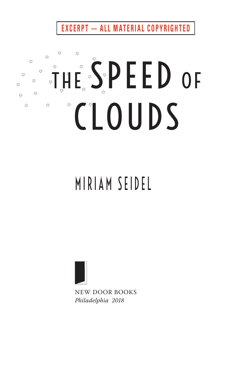**EXCERPT - ALL MATERIAL COPYRIGHTED** 

## 53  $\stackrel{13}{\sim}$ **THE SPEED OF** ☆  $\overline{\mathcal{L}}$ 53  $\lesssim$ **ZZ**  $\overleftrightarrow{\sim}$  $\overline{\mathcal{L}}$  $\overleftrightarrow{\omega}$ CLOUDS  $\Sigma$ ☆

## MIRIAM SEIDEL



NEW DOOR BOOKS *philadelphia 2018*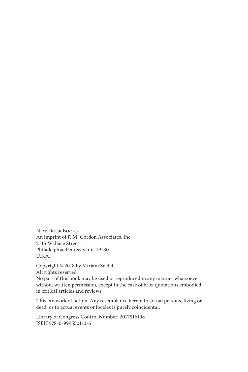New Door Books An imprint of P. M. Gordon Associates, Inc. 2115 Wallace Street Philadelphia, Pennsylvania 19130 U.S.A.

Copyright © 2018 by Miriam Seidel All rights reserved No part of this book may be used or reproduced in any manner whatsoever without written permission, except in the case of brief quotations embodied in critical articles and reviews.

This is a work of fiction. Any resemblance herein to actual persons, living or dead, or to actual events or locales is purely coincidental.

Library of Congress Control Number: 2017916108 ISBN 978-0-9995501-0-6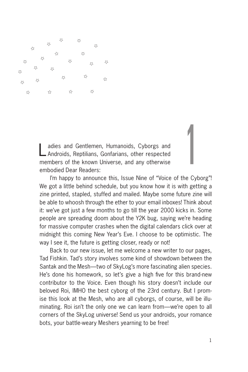

Ladies and Gentlemen, Humanoids, Cyborgs and Androids, Reptilians, Gonfarians, other respected members of the known Universe, and any otherwise embodied Dear Readers:

I'm happy to announce this, Issue Nine of "Voice of the Cyborg"! We got a little behind schedule, but you know how it is with getting a zine printed, stapled, stuffed and mailed. Maybe some future zine will be able to whoosh through the ether to your email inboxes! Think about it: we've got just a few months to go till the year 2000 kicks in. Some people are spreading doom about the Y2K bug, saying we're heading for massive computer crashes when the digital calendars click over at midnight this coming New Year's Eve. I choose to be optimistic. The way I see it, the future is getting closer, ready or not!

Back to our new issue, let me welcome a new writer to our pages, Tad Fishkin. Tad's story involves some kind of showdown between the Santak and the Mesh—two of SkyLog's more fascinating alien species. He's done his homework, so let's give a high five for this brand-new contributor to the Voice. Even though his story doesn't include our beloved Roi, IMHO the best cyborg of the 23rd century. But I promise this look at the Mesh, who are all cyborgs, of course, will be illuminating. Roi isn't the only one we can learn from—we're open to all corners of the SkyLog universe! Send us your androids, your romance bots, your battle-weary Meshers yearning to be free!

1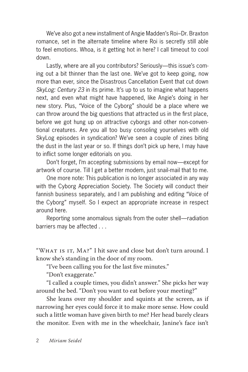We've also got a new installment of Angie Madden's Roi–Dr. Braxton romance, set in the alternate timeline where Roi is secretly still able to feel emotions. Whoa, is it getting hot in here? I call timeout to cool down.

Lastly, where are all you contributors? Seriously—this issue's coming out a bit thinner than the last one. We've got to keep going, now more than ever, since the Disastrous Cancellation Event that cut down *SkyLog: Century 23* in its prime. It's up to us to imagine what happens next, and even what might have happened, like Angie's doing in her new story. Plus, "Voice of the Cyborg" should be a place where we can throw around the big questions that attracted us in the first place, before we got hung up on attractive cyborgs and other non-conventional creatures. Are you all too busy consoling yourselves with old SkyLog episodes in syndication? We've seen a couple of zines biting the dust in the last year or so. If things don't pick up here, I may have to inflict some longer editorials on you.

Don't forget, I'm accepting submissions by email now—except for artwork of course. Till I get a better modem, just snail-mail that to me.

One more note: This publication is no longer associated in any way with the Cyborg Appreciation Society. The Society will conduct their fannish business separately, and I am publishing and editing "Voice of the Cyborg" myself. So I expect an appropriate increase in respect around here.

Reporting some anomalous signals from the outer shell—radiation barriers may be affected . . .

"WHAT IS IT, MA?" I hit save and close but don't turn around. I know she's standing in the door of my room.

"I've been calling you for the last five minutes."

"Don't exaggerate."

"I called a couple times, you didn't answer." She picks her way around the bed. "Don't you want to eat before your meeting?"

She leans over my shoulder and squints at the screen, as if narrowing her eyes could force it to make more sense. How could such a little woman have given birth to me? Her head barely clears the monitor. Even with me in the wheelchair, Janine's face isn't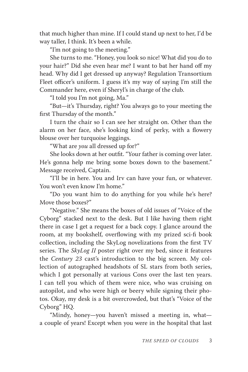that much higher than mine. If I could stand up next to her, I'd be way taller, I think. It's been a while.

"I'm not going to the meeting."

She turns to me. "Honey, you look so nice! What did you do to your hair?" Did she even hear me? I want to bat her hand off my head. Why did I get dressed up anyway? Regulation Transortium Fleet officer's uniform. I guess it's my way of saying I'm still the Commander here, even if Sheryl's in charge of the club.

"I told you I'm not going, Ma."

"But—it's Thursday, right? You always go to your meeting the first Thursday of the month."

I turn the chair so I can see her straight on. Other than the alarm on her face, she's looking kind of perky, with a flowery blouse over her turquoise leggings.

"What are *you* all dressed up for?"

She looks down at her outfit. "Your father is coming over later. He's gonna help me bring some boxes down to the basement." Message received, Captain.

"I'll be in here. You and Irv can have your fun, or whatever. You won't even know I'm home."

"Do you want him to do anything for you while he's here? Move those boxes?"

"Negative." She means the boxes of old issues of "Voice of the Cyborg" stacked next to the desk. But I like having them right there in case I get a request for a back copy. I glance around the room, at my bookshelf, overflowing with my prized sci-fi book collection, including the SkyLog novelizations from the first TV series. The *SkyLog II* poster right over my bed, since it features the *Century 23* cast's introduction to the big screen. My collection of autographed headshots of SL stars from both series, which I got personally at various Cons over the last ten years. I can tell you which of them were nice, who was cruising on autopilot, and who were high or beery while signing their photos. Okay, my desk is a bit overcrowded, but that's "Voice of the Cyborg" HQ.

"Mindy, honey—you haven't missed a meeting in, what a couple of years! Except when you were in the hospital that last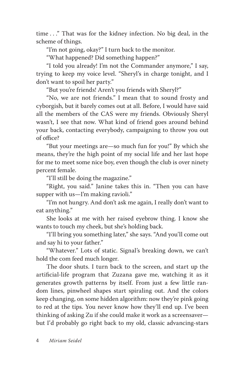time . . ." That was for the kidney infection. No big deal, in the scheme of things.

"I'm not going, okay?" I turn back to the monitor.

"What happened? Did something happen?"

"I told you already! I'm not the Commander anymore," I say, trying to keep my voice level. "Sheryl's in charge tonight, and I don't want to spoil her party."

"But you're friends! Aren't you friends with Sheryl?"

"No, we are not friends." I mean that to sound frosty and cyborgish, but it barely comes out at all. Before, I would have said all the members of the CAS were my friends. Obviously Sheryl wasn't, I see that now. What kind of friend goes around behind your back, contacting everybody, campaigning to throw you out of office?

"But your meetings are—so much fun for you!" By which she means, they're the high point of my social life and her last hope for me to meet some nice boy, even though the club is over ninety percent female.

"I'll still be doing the magazine."

"Right, you said." Janine takes this in. "Then you can have supper with us—I'm making ravioli."

"I'm not hungry. And don't ask me again, I really don't want to eat anything."

She looks at me with her raised eyebrow thing. I know she wants to touch my cheek, but she's holding back.

"I'll bring you something later," she says. "And you'll come out and say hi to your father."

"Whatever." Lots of static. Signal's breaking down, we can't hold the com feed much longer.

The door shuts. I turn back to the screen, and start up the artificial-life program that Zuzana gave me, watching it as it generates growth patterns by itself. From just a few little random lines, pinwheel shapes start spiraling out. And the colors keep changing, on some hidden algorithm: now they're pink going to red at the tips. You never know how they'll end up. I've been thinking of asking Zu if she could make it work as a screensaver but I'd probably go right back to my old, classic advancing-stars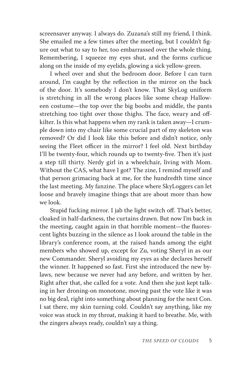screensaver anyway. I always do. Zuzana's still my friend, I think. She emailed me a few times after the meeting, but I couldn't figure out what to say to her, too embarrassed over the whole thing. Remembering, I squeeze my eyes shut, and the forms curlicue along on the inside of my eyelids, glowing a sick yellow-green.

I wheel over and shut the bedroom door. Before I can turn around, I'm caught by the reflection in the mirror on the back of the door. It's somebody I don't know. That SkyLog uniform is stretching in all the wrong places like some cheap Halloween costume—the top over the big boobs and middle, the pants stretching too tight over those thighs. The face, weary and offkilter. Is this what happens when my rank is taken away—I crumple down into my chair like some crucial part of my skeleton was removed? Or did I look like this before and didn't notice, only seeing the Fleet officer in the mirror? I feel old. Next birthday I'll be twenty-four, which rounds up to twenty-five. Then it's just a step till thirty. Nerdy girl in a wheelchair, living with Mom. Without the CAS, what have I got? The zine, I remind myself and that person grimacing back at me, for the hundredth time since the last meeting. My fanzine. The place where SkyLoggers can let loose and bravely imagine things that are about more than how we look.

Stupid fucking mirror. I jab the light switch off. That's better, cloaked in half-darkness, the curtains drawn. But now I'm back in the meeting, caught again in that horrible moment—the fluorescent lights buzzing in the silence as I look around the table in the library's conference room, at the raised hands among the eight members who showed up, except for Zu, voting Sheryl in as our new Commander. Sheryl avoiding my eyes as she declares herself the winner. It happened so fast. First she introduced the new bylaws, new because we never had any before, and written by her. Right after that, she called for a vote. And then she just kept talking in her droning-on monotone, moving past the vote like it was no big deal, right into something about planning for the next Con. I sat there, my skin turning cold. Couldn't say anything, like my voice was stuck in my throat, making it hard to breathe. Me, with the zingers always ready, couldn't say a thing.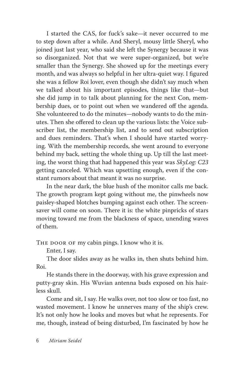I started the CAS, for fuck's sake—it never occurred to me to step down after a while. And Sheryl, mousy little Sheryl, who joined just last year, who said she left the Synergy because it was so disorganized. Not that we were super-organized, but we're smaller than the Synergy. She showed up for the meetings every month, and was always so helpful in her ultra-quiet way. I figured she was a fellow Roi lover, even though she didn't say much when we talked about his important episodes, things like that—but she did jump in to talk about planning for the next Con, membership dues, or to point out when we wandered off the agenda. She volunteered to do the minutes—nobody wants to do the minutes. Then she offered to clean up the various lists: the Voice subscriber list, the membership list, and to send out subscription and dues reminders. That's when I should have started worrying. With the membership records, she went around to everyone behind my back, setting the whole thing up. Up till the last meeting, the worst thing that had happened this year was *SkyLog: C23* getting canceled. Which was upsetting enough, even if the constant rumors about that meant it was no surprise.

In the near dark, the blue hush of the monitor calls me back. The growth program kept going without me, the pinwheels now paisley-shaped blotches bumping against each other. The screensaver will come on soon. There it is: the white pinpricks of stars moving toward me from the blackness of space, unending waves of them.

THE DOOR OF my cabin pings. I know who it is.

Enter, I say.

The door slides away as he walks in, then shuts behind him. Roi.

He stands there in the doorway, with his grave expression and putty-gray skin. His Wuvian antenna buds exposed on his hairless skull.

Come and sit, I say. He walks over, not too slow or too fast, no wasted movement. I know he unnerves many of the ship's crew. It's not only how he looks and moves but what he represents. For me, though, instead of being disturbed, I'm fascinated by how he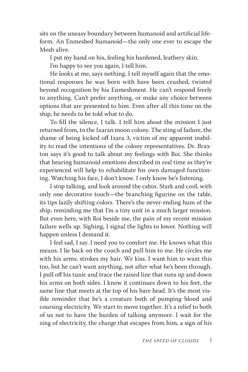sits on the uneasy boundary between humanoid and artificial lifeform. An Enmeshed humanoid—the only one ever to escape the Mesh alive.

I put my hand on his, feeling his hardened, leathery skin.

I'm happy to see you again, I tell him.

He looks at me, says nothing. I tell myself again that the emotional responses he was born with have been crushed, twisted beyond recognition by his Enmeshment. He can't respond freely to anything. Can't prefer anything, or make any choice between options that are presented to him. Even after all this time on the ship, he needs to be told what to do.

To fill the silence, I talk. I tell him about the mission I just returned from, to the Ixaran moon colony. The sting of failure, the shame of being kicked off Ixara 3, victim of my apparent inability to read the intentions of the colony representatives. Dr. Braxton says it's good to talk about my feelings with Roi. She thinks that hearing humanoid emotions described in real time as they're experienced will help to rehabilitate his own damaged functioning. Watching his face, I don't know. I only know he's listening.

I stop talking, and look around the cabin. Stark and cool, with only one decorative touch—the branching figurine on the table, its tips lazily shifting colors. There's the never-ending hum of the ship, reminding me that I'm a tiny unit in a much larger mission. But even here, with Roi beside me, the pain of my recent mission failure wells up. Sighing, I signal the lights to lower. Nothing will happen unless I demand it.

I feel sad, I say. I need you to comfort me. He knows what this means. I lie back on the couch and pull him to me. He circles me with his arms, strokes my hair. We kiss. I want him to want this too, but he can't want anything, not after what he's been through. I pull off his tunic and trace the raised line that runs up and down his arms on both sides. I know it continues down to his feet, the same line that meets at the top of his bare head. It's the most visible reminder that he's a creature both of pumping blood and coursing electricity. We start to move together. It's a relief to both of us not to have the burden of talking anymore. I wait for the zing of electricity, the charge that escapes from him, a sign of his